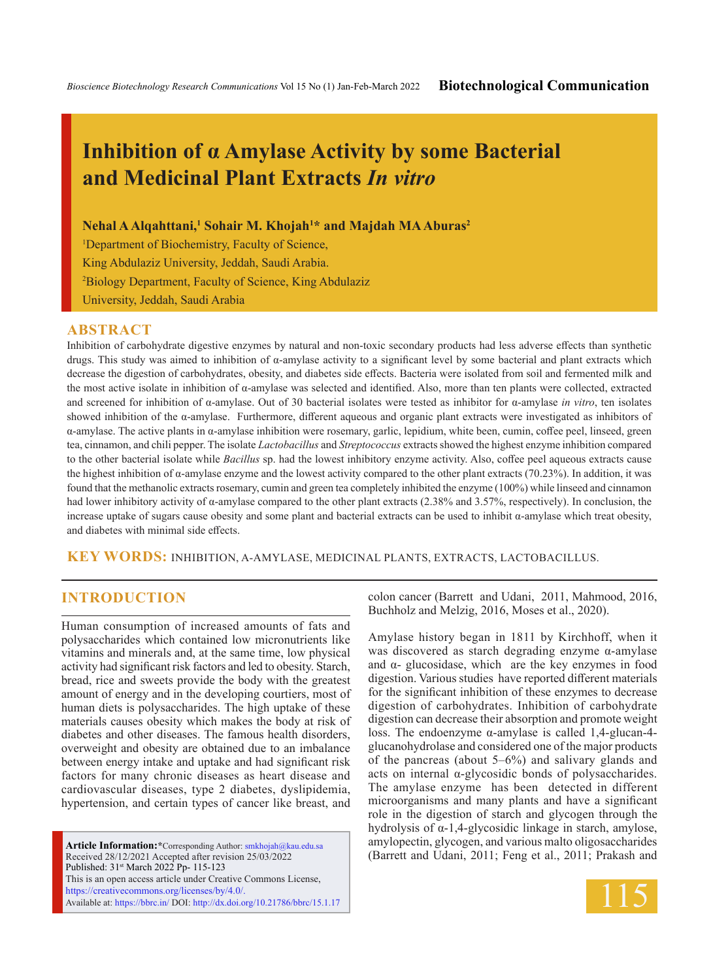# **Inhibition of α Amylase Activity by some Bacterial and Medicinal Plant Extracts** *In vitro*

**Nehal A Alqahttani,1 Sohair M. Khojah1 \* and Majdah MA Aburas<sup>2</sup>**

<sup>1</sup>Department of Biochemistry, Faculty of Science, King Abdulaziz University, Jeddah, Saudi Arabia. 2 Biology Department, Faculty of Science, King Abdulaziz University, Jeddah, Saudi Arabia

#### **ABSTRACT**

Inhibition of carbohydrate digestive enzymes by natural and non-toxic secondary products had less adverse effects than synthetic drugs. This study was aimed to inhibition of α-amylase activity to a significant level by some bacterial and plant extracts which decrease the digestion of carbohydrates, obesity, and diabetes side effects. Bacteria were isolated from soil and fermented milk and the most active isolate in inhibition of α-amylase was selected and identified. Also, more than ten plants were collected, extracted and screened for inhibition of α-amylase. Out of 30 bacterial isolates were tested as inhibitor for α-amylase *in vitro*, ten isolates showed inhibition of the α-amylase. Furthermore, different aqueous and organic plant extracts were investigated as inhibitors of α-amylase. The active plants in α-amylase inhibition were rosemary, garlic, lepidium, white been, cumin, coffee peel, linseed, green tea, cinnamon, and chili pepper. The isolate *Lactobacillus* and *Streptococcus* extracts showed the highest enzyme inhibition compared to the other bacterial isolate while *Bacillus* sp. had the lowest inhibitory enzyme activity. Also, coffee peel aqueous extracts cause the highest inhibition of  $\alpha$ -amylase enzyme and the lowest activity compared to the other plant extracts (70.23%). In addition, it was found that the methanolic extracts rosemary, cumin and green tea completely inhibited the enzyme (100%) while linseed and cinnamon had lower inhibitory activity of α-amylase compared to the other plant extracts (2.38% and 3.57%, respectively). In conclusion, the increase uptake of sugars cause obesity and some plant and bacterial extracts can be used to inhibit α-amylase which treat obesity, and diabetes with minimal side effects.

**KEY WORDS:** Inhibition, α-Amylase, medicinal plants, extracts, Lactobacillus.

## **INTRODUCTION**

Human consumption of increased amounts of fats and polysaccharides which contained low micronutrients like vitamins and minerals and, at the same time, low physical activity had significant risk factors and led to obesity. Starch, bread, rice and sweets provide the body with the greatest amount of energy and in the developing courtiers, most of human diets is polysaccharides. The high uptake of these materials causes obesity which makes the body at risk of diabetes and other diseases. The famous health disorders, overweight and obesity are obtained due to an imbalance between energy intake and uptake and had significant risk factors for many chronic diseases as heart disease and cardiovascular diseases, type 2 diabetes, dyslipidemia, hypertension, and certain types of cancer like breast, and

**Article Information:\***Corresponding Author: smkhojah@kau.edu.sa Received 28/12/2021 Accepted after revision 25/03/2022 Published: 31st March 2022 Pp- 115-123 This is an open access article under Creative Commons License, https://creativecommons.org/licenses/by/4.0/. Available at: https://bbrc.in/ DOI: http://dx.doi.org/10.21786/bbrc/15.1.17 colon cancer (Barrett and Udani, 2011, Mahmood, 2016, Buchholz and Melzig, 2016, Moses et al., 2020).

Amylase history began in 1811 by Kirchhoff, when it was discovered as starch degrading enzyme α-amylase and  $\alpha$ - glucosidase, which are the key enzymes in food digestion. Various studies have reported different materials for the significant inhibition of these enzymes to decrease digestion of carbohydrates. Inhibition of carbohydrate digestion can decrease their absorption and promote weight loss. The endoenzyme α-amylase is called 1,4-glucan-4 glucanohydrolase and considered one of the major products of the pancreas (about 5–6%) and salivary glands and acts on internal α-glycosidic bonds of polysaccharides. The amylase enzyme has been detected in different microorganisms and many plants and have a significant role in the digestion of starch and glycogen through the hydrolysis of α-1,4-glycosidic linkage in starch, amylose, amylopectin, glycogen, and various malto oligosaccharides (Barrett and Udani, 2011; Feng et al., 2011; Prakash and

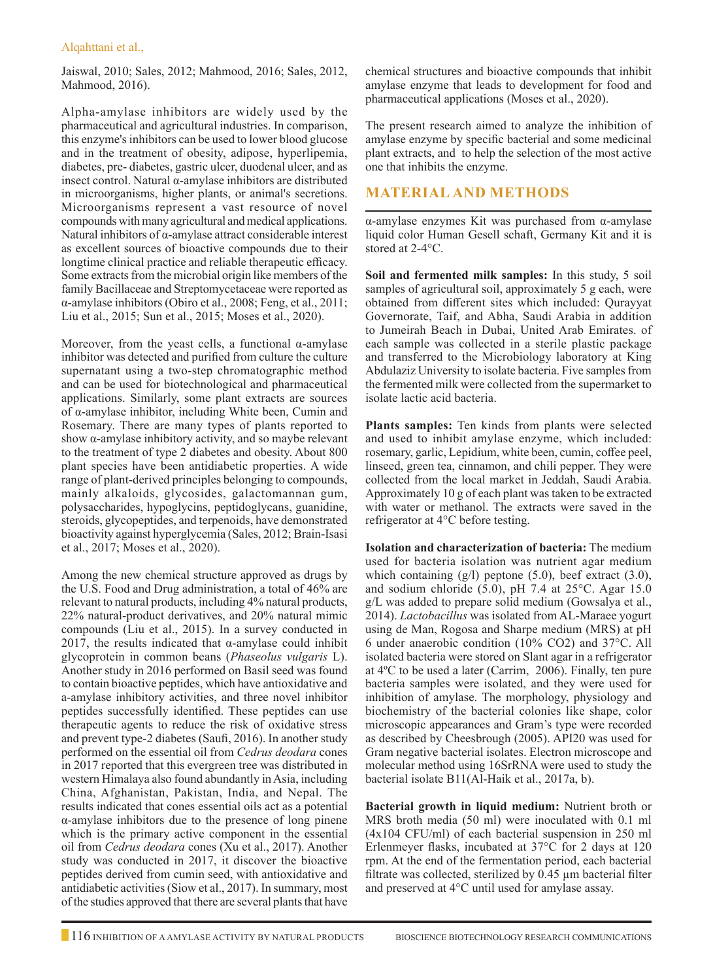Jaiswal, 2010; Sales, 2012; Mahmood, 2016; Sales, 2012, Mahmood, 2016).

Alpha-amylase inhibitors are widely used by the pharmaceutical and agricultural industries. In comparison, this enzyme's inhibitors can be used to lower blood glucose and in the treatment of obesity, adipose, hyperlipemia, diabetes, pre- diabetes, gastric ulcer, duodenal ulcer, and as insect control. Natural α-amylase inhibitors are distributed in microorganisms, higher plants, or animal's secretions. Microorganisms represent a vast resource of novel compounds with many agricultural and medical applications. Natural inhibitors of α-amylase attract considerable interest as excellent sources of bioactive compounds due to their longtime clinical practice and reliable therapeutic efficacy. Some extracts from the microbial origin like members of the family Bacillaceae and Streptomycetaceae were reported as α-amylase inhibitors (Obiro et al., 2008; Feng, et al., 2011; Liu et al., 2015; Sun et al., 2015; Moses et al., 2020).

Moreover, from the yeast cells, a functional  $\alpha$ -amylase inhibitor was detected and purified from culture the culture supernatant using a two-step chromatographic method and can be used for biotechnological and pharmaceutical applications. Similarly, some plant extracts are sources of α-amylase inhibitor, including White been, Cumin and Rosemary. There are many types of plants reported to show α-amylase inhibitory activity, and so maybe relevant to the treatment of type 2 diabetes and obesity. About 800 plant species have been antidiabetic properties. A wide range of plant-derived principles belonging to compounds, mainly alkaloids, glycosides, galactomannan gum, polysaccharides, hypoglycins, peptidoglycans, guanidine, steroids, glycopeptides, and terpenoids, have demonstrated bioactivity against hyperglycemia (Sales, 2012; Brain-Isasi et al., 2017; Moses et al., 2020).

Among the new chemical structure approved as drugs by the U.S. Food and Drug administration, a total of 46% are relevant to natural products, including 4% natural products, 22% natural-product derivatives, and 20% natural mimic compounds (Liu et al., 2015). In a survey conducted in 2017, the results indicated that  $\alpha$ -amylase could inhibit glycoprotein in common beans (*Phaseolus vulgaris* L). Another study in 2016 performed on Basil seed was found to contain bioactive peptides, which have antioxidative and a-amylase inhibitory activities, and three novel inhibitor peptides successfully identified. These peptides can use therapeutic agents to reduce the risk of oxidative stress and prevent type-2 diabetes (Saufi, 2016). In another study performed on the essential oil from *Cedrus deodara* cones in 2017 reported that this evergreen tree was distributed in western Himalaya also found abundantly in Asia, including China, Afghanistan, Pakistan, India, and Nepal. The results indicated that cones essential oils act as a potential α-amylase inhibitors due to the presence of long pinene which is the primary active component in the essential oil from *Cedrus deodara* cones (Xu et al., 2017). Another study was conducted in 2017, it discover the bioactive peptides derived from cumin seed, with antioxidative and antidiabetic activities (Siow et al., 2017). In summary, most of the studies approved that there are several plants that have

chemical structures and bioactive compounds that inhibit amylase enzyme that leads to development for food and pharmaceutical applications (Moses et al., 2020).

The present research aimed to analyze the inhibition of amylase enzyme by specific bacterial and some medicinal plant extracts, and to help the selection of the most active one that inhibits the enzyme.

## **Material and Methods**

α-amylase enzymes Kit was purchased from α-amylase liquid color Human Gesell schaft, Germany Kit and it is stored at 2-4°C.

**Soil and fermented milk samples:** In this study, 5 soil samples of agricultural soil, approximately 5 g each, were obtained from different sites which included: Qurayyat Governorate, Taif, and Abha, Saudi Arabia in addition to Jumeirah Beach in Dubai, United Arab Emirates. of each sample was collected in a sterile plastic package and transferred to the Microbiology laboratory at King Abdulaziz University to isolate bacteria. Five samples from the fermented milk were collected from the supermarket to isolate lactic acid bacteria.

**Plants samples:** Ten kinds from plants were selected and used to inhibit amylase enzyme, which included: rosemary, garlic, Lepidium, white been, cumin, coffee peel, linseed, green tea, cinnamon, and chili pepper. They were collected from the local market in Jeddah, Saudi Arabia. Approximately 10 g of each plant was taken to be extracted with water or methanol. The extracts were saved in the refrigerator at 4°C before testing.

**Isolation and characterization of bacteria:** The medium used for bacteria isolation was nutrient agar medium which containing  $(g/l)$  peptone  $(5.0)$ , beef extract  $(3.0)$ , and sodium chloride (5.0), pH 7.4 at 25°C. Agar 15.0 g/L was added to prepare solid medium (Gowsalya et al., 2014). *Lactobacillus* was isolated from AL-Maraee yogurt using de Man, Rogosa and Sharpe medium (MRS) at pH 6 under anaerobic condition (10% CO2) and 37°C. All isolated bacteria were stored on Slant agar in a refrigerator at 4ºC to be used a later (Carrim, 2006). Finally, ten pure bacteria samples were isolated, and they were used for inhibition of amylase. The morphology, physiology and biochemistry of the bacterial colonies like shape, color microscopic appearances and Gram's type were recorded as described by Cheesbrough (2005). API20 was used for Gram negative bacterial isolates. Electron microscope and molecular method using 16SrRNA were used to study the bacterial isolate B11(Al-Haik et al., 2017a, b).

**Bacterial growth in liquid medium:** Nutrient broth or MRS broth media (50 ml) were inoculated with 0.1 ml (4x104 CFU/ml) of each bacterial suspension in 250 ml Erlenmeyer flasks, incubated at 37°C for 2 days at 120 rpm. At the end of the fermentation period, each bacterial filtrate was collected, sterilized by  $0.45 \mu m$  bacterial filter and preserved at 4°C until used for amylase assay.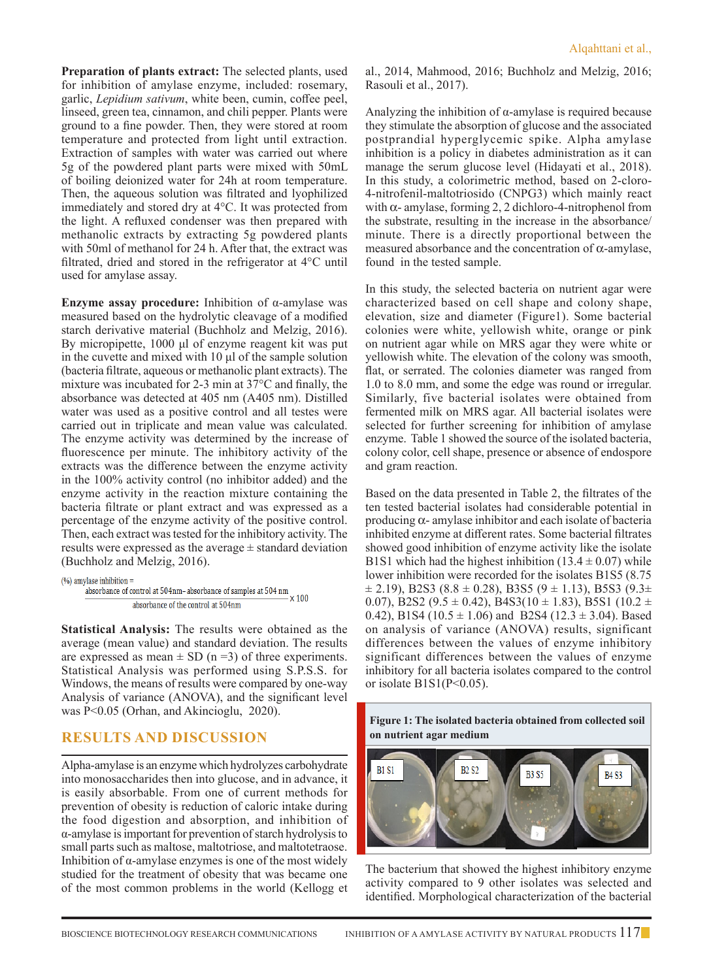**Preparation of plants extract:** The selected plants, used for inhibition of amylase enzyme, included: rosemary, garlic, *Lepidium sativum*, white been, cumin, coffee peel, linseed, green tea, cinnamon, and chili pepper. Plants were ground to a fine powder. Then, they were stored at room temperature and protected from light until extraction. Extraction of samples with water was carried out where 5g of the powdered plant parts were mixed with 50mL of boiling deionized water for 24h at room temperature. Then, the aqueous solution was filtrated and lyophilized immediately and stored dry at 4°C. It was protected from the light. A refluxed condenser was then prepared with methanolic extracts by extracting 5g powdered plants with 50ml of methanol for 24 h. After that, the extract was filtrated, dried and stored in the refrigerator at 4°C until used for amylase assay.

**Enzyme assay procedure:** Inhibition of α-amylase was measured based on the hydrolytic cleavage of a modified starch derivative material (Buchholz and Melzig, 2016). By micropipette, 1000 μl of enzyme reagent kit was put in the cuvette and mixed with 10 μl of the sample solution (bacteria filtrate, aqueous or methanolic plant extracts). The mixture was incubated for 2-3 min at 37°C and finally, the absorbance was detected at 405 nm (A405 nm). Distilled water was used as a positive control and all testes were carried out in triplicate and mean value was calculated. The enzyme activity was determined by the increase of fluorescence per minute. The inhibitory activity of the extracts was the difference between the enzyme activity in the 100% activity control (no inhibitor added) and the enzyme activity in the reaction mixture containing the bacteria filtrate or plant extract and was expressed as a percentage of the enzyme activity of the positive control. Then, each extract was tested for the inhibitory activity. The results were expressed as the average  $\pm$  standard deviation (Buchholz and Melzig, 2016).

```
(% \mathcal{O}_{0}) amylase inhibition =
%<br>plase inhibition = \frac{1}{2} absorbance of control at 504 nm<br>\frac{1}{2} absorbance of control at 504 nm<br>\times 100
                        absorbance of the control at 504nm
```
**Statistical Analysis:** The results were obtained as the average (mean value) and standard deviation. The results are expressed as mean  $\pm$  SD (n =3) of three experiments. Statistical Analysis was performed using S.P.S.S. for Windows, the means of results were compared by one-way Analysis of variance (ANOVA), and the significant level was P<0.05 (Orhan, and Akincioglu, 2020).

## **Results and Discussion**

Alpha-amylase is an enzyme which hydrolyzes carbohydrate into monosaccharides then into glucose, and in advance, it is easily absorbable. From one of current methods for prevention of obesity is reduction of caloric intake during the food digestion and absorption, and inhibition of α-amylase is important for prevention of starch hydrolysis to small parts such as maltose, maltotriose, and maltotetraose. Inhibition of  $\alpha$ -amylase enzymes is one of the most widely studied for the treatment of obesity that was became one of the most common problems in the world (Kellogg et

al., 2014, Mahmood, 2016; Buchholz and Melzig, 2016; Rasouli et al., 2017).

Analyzing the inhibition of  $\alpha$ -amylase is required because they stimulate the absorption of glucose and the associated postprandial hyperglycemic spike. Alpha amylase inhibition is a policy in diabetes administration as it can manage the serum glucose level (Hidayati et al., 2018). In this study, a colorimetric method, based on 2-cloro-4-nitrofenil-maltotriosido (CNPG3) which mainly react with  $\alpha$ - amylase, forming 2, 2 dichloro-4-nitrophenol from the substrate, resulting in the increase in the absorbance/ minute. There is a directly proportional between the measured absorbance and the concentration of  $\alpha$ -amylase, found in the tested sample.

In this study, the selected bacteria on nutrient agar were characterized based on cell shape and colony shape, elevation, size and diameter (Figure1). Some bacterial colonies were white, yellowish white, orange or pink on nutrient agar while on MRS agar they were white or yellowish white. The elevation of the colony was smooth, flat, or serrated. The colonies diameter was ranged from 1.0 to 8.0 mm, and some the edge was round or irregular. Similarly, five bacterial isolates were obtained from fermented milk on MRS agar. All bacterial isolates were selected for further screening for inhibition of amylase enzyme. Table 1 showed the source of the isolated bacteria, colony color, cell shape, presence or absence of endospore and gram reaction.

Based on the data presented in Table 2, the filtrates of the ten tested bacterial isolates had considerable potential in producing  $\alpha$ - amylase inhibitor and each isolate of bacteria inhibited enzyme at different rates. Some bacterial filtrates showed good inhibition of enzyme activity like the isolate B1S1 which had the highest inhibition  $(13.4 \pm 0.07)$  while lower inhibition were recorded for the isolates B1S5 (8.75  $\pm$  2.19), B2S3 (8.8  $\pm$  0.28), B3S5 (9  $\pm$  1.13), B5S3 (9.3 $\pm$ 0.07), B2S2 (9.5  $\pm$  0.42), B4S3(10  $\pm$  1.83), B5S1 (10.2  $\pm$ 0.42), B1S4 (10.5  $\pm$  1.06) and B2S4 (12.3  $\pm$  3.04). Based on analysis of variance (ANOVA) results, significant differences between the values of enzyme inhibitory significant differences between the values of enzyme inhibitory for all bacteria isolates compared to the control or isolate  $B1S1(P<0.05)$ .





The bacterium that showed the highest inhibitory enzyme activity compared to 9 other isolates was selected and identified. Morphological characterization of the bacterial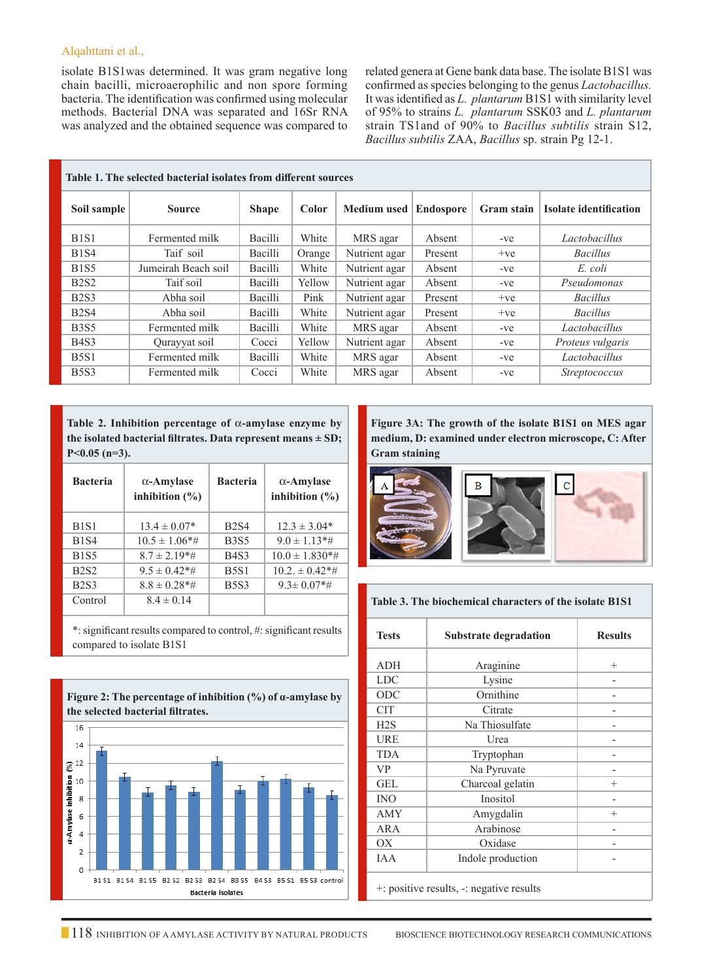isolate B1S1was determined. It was gram negative long chain bacilli, microaerophilic and non spore forming bacteria. The identification was confirmed using molecular methods. Bacterial DNA was separated and 16Sr RNA was analyzed and the obtained sequence was compared to related genera at Gene bank data base. The isolate B1S1 was confirmed as species belonging to the genus *Lactobacillus.*  It was identified as *L. plantarum* B1S1 with similarity level of 95% to strains *L. plantarum* SSK03 and *L. plantarum*  strain TS1and of 90% to *Bacillus subtilis* strain S12, *Bacillus subtilis* ZAA, *Bacillus* sp. strain Pg 12-1.

| Table 1. The selected bacterial isolates from different sources |                     |              |        |                    |                  |                   |                               |
|-----------------------------------------------------------------|---------------------|--------------|--------|--------------------|------------------|-------------------|-------------------------------|
| Soil sample                                                     | <b>Source</b>       | <b>Shape</b> | Color  | <b>Medium</b> used | <b>Endospore</b> | <b>Gram stain</b> | <b>Isolate identification</b> |
| B <sub>1</sub> S <sub>1</sub>                                   | Fermented milk      | Bacilli      | White  | MRS agar           | Absent           | $-ve$             | Lactobacillus                 |
| <b>B1S4</b>                                                     | Taif soil           | Bacilli      | Orange | Nutrient agar      | Present          | $+ve$             | <b>Bacillus</b>               |
| <b>B1S5</b>                                                     | Jumeirah Beach soil | Bacilli      | White  | Nutrient agar      | Absent           | $-ve$             | E. coli                       |
| <b>B2S2</b>                                                     | Taif soil           | Bacilli      | Yellow | Nutrient agar      | Absent           | $-ve$             | Pseudomonas                   |
| <b>B2S3</b>                                                     | Abha soil           | Bacilli      | Pink   | Nutrient agar      | Present          | $+ve$             | <b>Bacillus</b>               |
| <b>B2S4</b>                                                     | Abha soil           | Bacilli      | White  | Nutrient agar      | Present          | $+ve$             | <b>Bacillus</b>               |
| <b>B3S5</b>                                                     | Fermented milk      | Bacilli      | White  | MRS agar           | Absent           | $-ve$             | Lactobacillus                 |
| B <sub>4</sub> S <sub>3</sub>                                   | Qurayyat soil       | Cocci        | Yellow | Nutrient agar      | Absent           | -ve               | Proteus vulgaris              |
| <b>B5S1</b>                                                     | Fermented milk      | Bacilli      | White  | MRS agar           | Absent           | $-ve$             | Lactobacillus                 |
| <b>B5S3</b>                                                     | Fermented milk      | Cocci        | White  | MRS agar           | Absent           | $-ve$             | <i>Streptococcus</i>          |

Table 2. Inhibition percentage of  $\alpha$ -amylase enzyme by **the isolated bacterial filtrates. Data represent means ± SD; P<0.05 (n=3).**

| <b>Bacteria</b> | $\alpha$ -Amylase<br>inhibition $(\% )$ | <b>Bacteria</b> | $\alpha$ -Amylase<br>inhibition $(\% )$ |
|-----------------|-----------------------------------------|-----------------|-----------------------------------------|
| <b>B1S1</b>     | $13.4 \pm 0.07*$                        | <b>B2S4</b>     | $12.3 \pm 3.04*$                        |
| <b>B1S4</b>     | $10.5 \pm 1.06*$ #                      | <b>B</b> 3S5    | $9.0 \pm 1.13*$ #                       |
| <b>B1S5</b>     | $8.7 \pm 2.19$ <sup>*</sup> #           | <b>B4S3</b>     | $10.0 \pm 1.830**$                      |
| <b>B2S2</b>     | $9.5 \pm 0.42$ *#                       | <b>B5S1</b>     | $10.2 \pm 0.42**$                       |
| <b>B2S3</b>     | $8.8 \pm 0.28**$                        | <b>B5S3</b>     | $9.3 \pm 0.07$ *#                       |
| Control         | $8.4 \pm 0.14$                          |                 |                                         |

\*: significant results compared to control, #: significant results compared to isolate B1S1



**Figure 3A: The growth of the isolate B1S1 on MES agar medium, D: examined under electron microscope, C: After Gram staining**



#### **Table 3. The biochemical characters of the isolate B1S1**

| <b>Tests</b> | <b>Substrate degradation</b>             | <b>Results</b> |
|--------------|------------------------------------------|----------------|
| ADH          | Araginine                                | $^{+}$         |
| <b>LDC</b>   | Lysine                                   |                |
| ODC          | Ornithine                                |                |
| CIT          | Citrate                                  |                |
| H2S          | Na Thiosulfate                           |                |
| URE          | Urea                                     |                |
| <b>TDA</b>   | Tryptophan                               |                |
| <b>VP</b>    | Na Pyruvate                              |                |
| <b>GEL</b>   | Charcoal gelatin                         | $^{+}$         |
| <b>INO</b>   | Inositol                                 |                |
| <b>AMY</b>   | Amygdalin                                | $^{+}$         |
| ARA          | Arabinose                                | -              |
| ОX           | Oxidase                                  |                |
| <b>IAA</b>   | Indole production                        |                |
|              | t: positive results, -: negative results |                |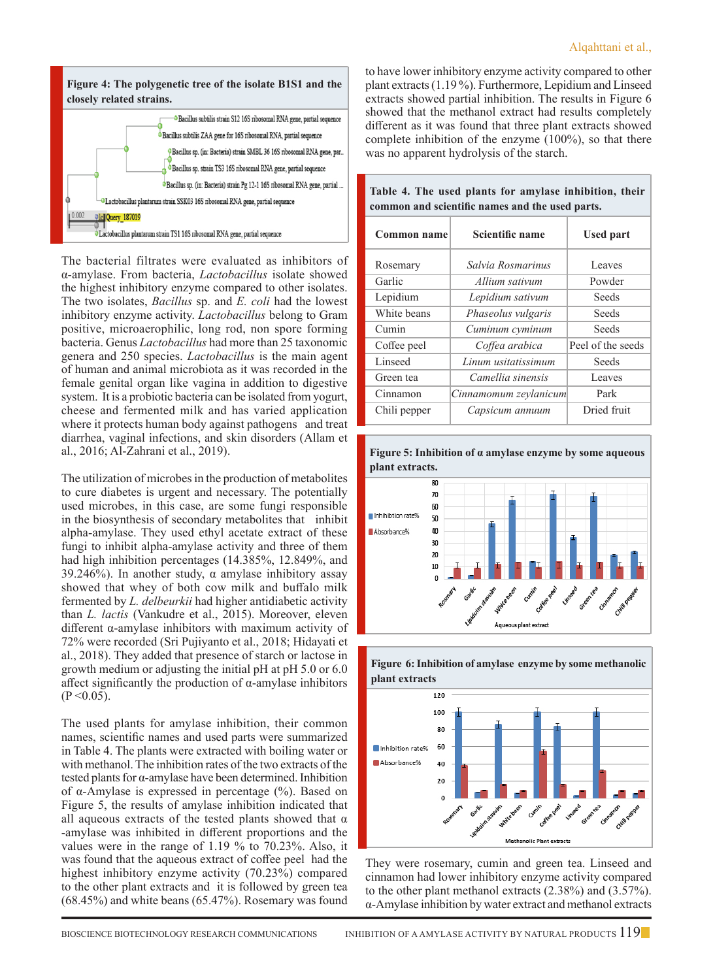

The bacterial filtrates were evaluated as inhibitors of α-amylase. From bacteria, *Lactobacillus* isolate showed the highest inhibitory enzyme compared to other isolates. The two isolates, *Bacillus* sp. and *E. coli* had the lowest inhibitory enzyme activity. *Lactobacillus* belong to Gram positive, microaerophilic, long rod, non spore forming bacteria. Genus *Lactobacillus* had more than 25 taxonomic genera and 250 species. *Lactobacillus* is the main agent of human and animal microbiota as it was recorded in the female genital organ like vagina in addition to digestive system. It is a probiotic bacteria can be isolated from yogurt, cheese and fermented milk and has varied application where it protects human body against pathogens and treat diarrhea, vaginal infections, and skin disorders (Allam et al., 2016; Al-Zahrani et al., 2019).

The utilization of microbes in the production of metabolites to cure diabetes is urgent and necessary. The potentially used microbes, in this case, are some fungi responsible in the biosynthesis of secondary metabolites that inhibit alpha-amylase. They used ethyl acetate extract of these fungi to inhibit alpha-amylase activity and three of them had high inhibition percentages (14.385%, 12.849%, and 39.246%). In another study,  $\alpha$  amylase inhibitory assay showed that whey of both cow milk and buffalo milk fermented by *L. delbeurkii* had higher antidiabetic activity than *L. lactis* (Vankudre et al., 2015). Moreover, eleven different α-amylase inhibitors with maximum activity of 72% were recorded (Sri Pujiyanto et al., 2018; Hidayati et al., 2018). They added that presence of starch or lactose in growth medium or adjusting the initial pH at pH 5.0 or 6.0 affect significantly the production of  $\alpha$ -amylase inhibitors  $(P < 0.05)$ .

The used plants for amylase inhibition, their common names, scientific names and used parts were summarized in Table 4. The plants were extracted with boiling water or with methanol. The inhibition rates of the two extracts of the tested plants for α-amylase have been determined. Inhibition of α-Amylase is expressed in percentage (%). Based on Figure 5, the results of amylase inhibition indicated that all aqueous extracts of the tested plants showed that  $\alpha$ -amylase was inhibited in different proportions and the values were in the range of 1.19 % to 70.23%. Also, it was found that the aqueous extract of coffee peel had the highest inhibitory enzyme activity (70.23%) compared to the other plant extracts and it is followed by green tea (68.45%) and white beans (65.47%). Rosemary was found to have lower inhibitory enzyme activity compared to other plant extracts (1.19 %). Furthermore, Lepidium and Linseed extracts showed partial inhibition. The results in Figure 6 showed that the methanol extract had results completely different as it was found that three plant extracts showed complete inhibition of the enzyme (100%), so that there was no apparent hydrolysis of the starch.

| <b>Common name</b> | <b>Scientific name</b> | <b>Used part</b>  |  |
|--------------------|------------------------|-------------------|--|
| Rosemary           | Salvia Rosmarinus      | Leaves            |  |
| Garlic             | Allium sativum         | Powder            |  |
| Lepidium           | Lepidium sativum       | Seeds             |  |
| White beans        | Phaseolus vulgaris     | Seeds             |  |
| Cumin              | Cuminum cyminum        | Seeds             |  |
| Coffee peel        | Coffea arabica         | Peel of the seeds |  |
| Linseed            | Linum usitatissimum    | Seeds             |  |
| Green tea          | Camellia sinensis      | Leaves            |  |
| Cinnamon           | Cinnamomum zeylanicum  | Park              |  |
| Chili pepper       | Capsicum annuum        | Dried fruit       |  |

**Table 4. The used plants for amylase inhibition, their common and scientific names and the used parts.**







They were rosemary, cumin and green tea. Linseed and cinnamon had lower inhibitory enzyme activity compared to the other plant methanol extracts (2.38%) and (3.57%). α-Amylase inhibition by water extract and methanol extracts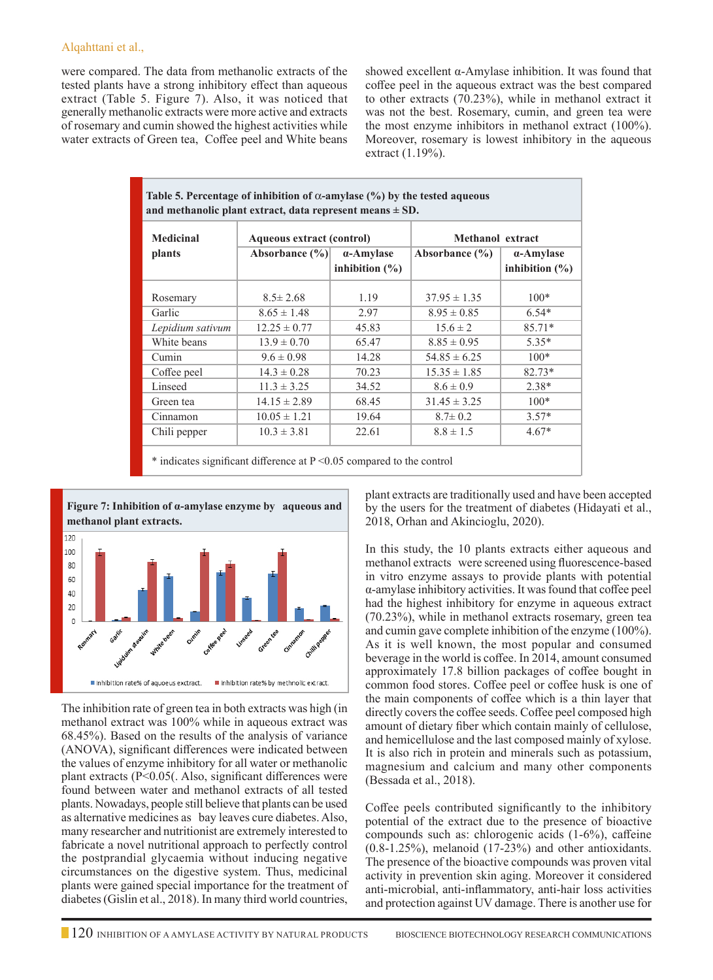were compared. The data from methanolic extracts of the tested plants have a strong inhibitory effect than aqueous extract (Table 5. Figure 7). Also, it was noticed that generally methanolic extracts were more active and extracts of rosemary and cumin showed the highest activities while water extracts of Green tea, Coffee peel and White beans

showed excellent α-Amylase inhibition. It was found that coffee peel in the aqueous extract was the best compared to other extracts (70.23%), while in methanol extract it was not the best. Rosemary, cumin, and green tea were the most enzyme inhibitors in methanol extract (100%). Moreover, rosemary is lowest inhibitory in the aqueous extract (1.19%).

| Table 5. Percentage of inhibition of $\alpha$ -amylase (%) by the tested aqueous<br>and methanolic plant extract, data represent means $\pm$ SD. |                           |                                 |                         |                                 |  |
|--------------------------------------------------------------------------------------------------------------------------------------------------|---------------------------|---------------------------------|-------------------------|---------------------------------|--|
| <b>Medicinal</b>                                                                                                                                 | Aqueous extract (control) |                                 | <b>Methanol</b> extract |                                 |  |
| plants                                                                                                                                           | Absorbance $(\% )$        | a-Amylase<br>inhibition $(\% )$ | Absorbance $(\% )$      | a-Amylase<br>inhibition $(\% )$ |  |
| Rosemary                                                                                                                                         | $8.5 \pm 2.68$            | 1.19                            | $37.95 \pm 1.35$        | $100*$                          |  |
| Garlic                                                                                                                                           | $8.65 \pm 1.48$           | 2.97                            | $8.95 \pm 0.85$         | $6.54*$                         |  |
| Lepidium sativum                                                                                                                                 | $12.25 \pm 0.77$          | 45.83                           | $15.6 \pm 2$            | 85.71*                          |  |
| White beans                                                                                                                                      | $13.9 \pm 0.70$           | 65.47                           | $8.85 \pm 0.95$         | $5.35*$                         |  |
| Cumin                                                                                                                                            | $9.6 \pm 0.98$            | 14.28                           | $54.85 \pm 6.25$        | $100*$                          |  |
| Coffee peel                                                                                                                                      | $14.3 \pm 0.28$           | 70.23                           | $15.35 \pm 1.85$        | $82.73*$                        |  |
| Linseed                                                                                                                                          | $11.3 \pm 3.25$           | 34.52                           | $8.6 \pm 0.9$           | $2.38*$                         |  |
| Green tea                                                                                                                                        | $14.15 \pm 2.89$          | 68.45                           | $31.45 \pm 3.25$        | $100*$                          |  |
| Cinnamon                                                                                                                                         | $10.05 \pm 1.21$          | 19.64                           | $8.7 \pm 0.2$           | $3.57*$                         |  |
| Chili pepper                                                                                                                                     | $10.3 \pm 3.81$           | 22.61                           | $8.8 \pm 1.5$           | $4.67*$                         |  |
|                                                                                                                                                  |                           |                                 |                         |                                 |  |

 $*$  indicates significant difference at  $P \le 0.05$  compared to the control



The inhibition rate of green tea in both extracts was high (in methanol extract was 100% while in aqueous extract was 68.45%). Based on the results of the analysis of variance (ANOVA), significant differences were indicated between the values of enzyme inhibitory for all water or methanolic plant extracts (P<0.05(. Also, significant differences were found between water and methanol extracts of all tested plants. Nowadays, people still believe that plants can be used as alternative medicines as bay leaves cure diabetes. Also, many researcher and nutritionist are extremely interested to fabricate a novel nutritional approach to perfectly control the postprandial glycaemia without inducing negative circumstances on the digestive system. Thus, medicinal plants were gained special importance for the treatment of diabetes (Gislin et al., 2018). In many third world countries,

plant extracts are traditionally used and have been accepted by the users for the treatment of diabetes (Hidayati et al., 2018, Orhan and Akincioglu, 2020).

In this study, the 10 plants extracts either aqueous and methanol extracts were screened using fluorescence-based in vitro enzyme assays to provide plants with potential α-amylase inhibitory activities. It was found that coffee peel had the highest inhibitory for enzyme in aqueous extract (70.23%), while in methanol extracts rosemary, green tea and cumin gave complete inhibition of the enzyme (100%). As it is well known, the most popular and consumed beverage in the world is coffee. In 2014, amount consumed approximately 17.8 billion packages of coffee bought in common food stores. Coffee peel or coffee husk is one of the main components of coffee which is a thin layer that directly covers the coffee seeds. Coffee peel composed high amount of dietary fiber which contain mainly of cellulose, and hemicellulose and the last composed mainly of xylose. It is also rich in protein and minerals such as potassium, magnesium and calcium and many other components (Bessada et al., 2018).

Coffee peels contributed significantly to the inhibitory potential of the extract due to the presence of bioactive compounds such as: chlorogenic acids (1-6%), caffeine (0.8-1.25%), melanoid (17-23%) and other antioxidants. The presence of the bioactive compounds was proven vital activity in prevention skin aging. Moreover it considered anti-microbial, anti-inflammatory, anti-hair loss activities and protection against UV damage. There is another use for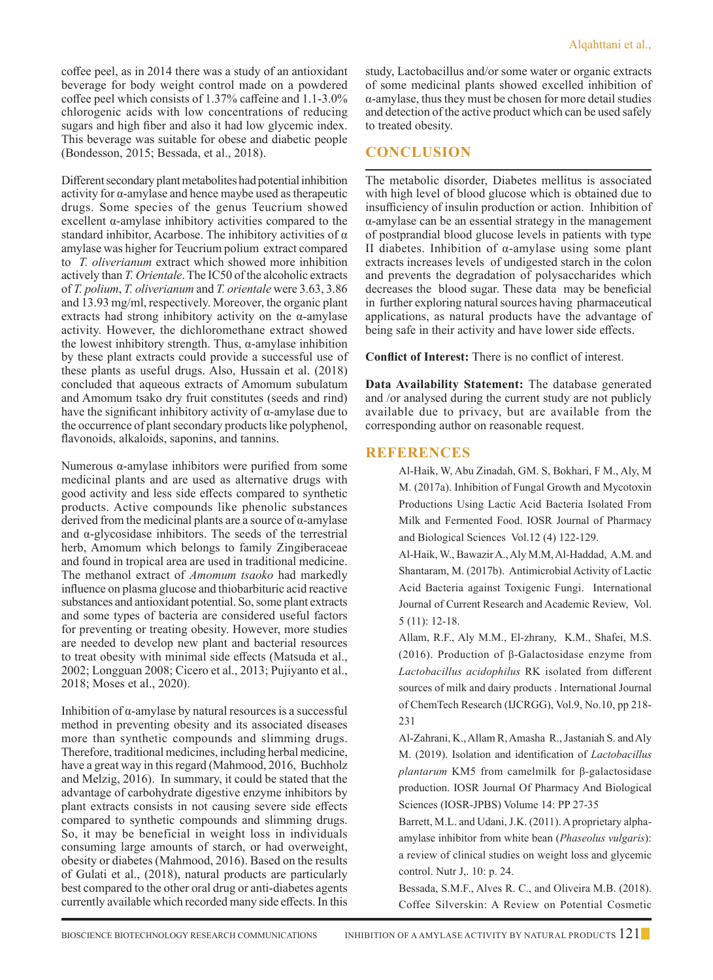coffee peel, as in 2014 there was a study of an antioxidant beverage for body weight control made on a powdered coffee peel which consists of 1.37% caffeine and 1.1-3.0% chlorogenic acids with low concentrations of reducing sugars and high fiber and also it had low glycemic index. This beverage was suitable for obese and diabetic people (Bondesson, 2015; Bessada, et al., 2018).

Different secondary plant metabolites had potential inhibition activity for α-amylase and hence maybe used as therapeutic drugs. Some species of the genus Teucrium showed excellent α-amylase inhibitory activities compared to the standard inhibitor, Acarbose. The inhibitory activities of  $\alpha$ amylase was higher for Teucrium polium extract compared to *T. oliverianum* extract which showed more inhibition actively than *T. Orientale*. The IC50 of the alcoholic extracts of *T. polium*, *T. oliverianum* and *T. orientale* were 3.63, 3.86 and 13.93 mg/ml, respectively. Moreover, the organic plant extracts had strong inhibitory activity on the α-amylase activity. However, the dichloromethane extract showed the lowest inhibitory strength. Thus, α-amylase inhibition by these plant extracts could provide a successful use of these plants as useful drugs. Also, Hussain et al. (2018) concluded that aqueous extracts of Amomum subulatum and Amomum tsako dry fruit constitutes (seeds and rind) have the significant inhibitory activity of  $\alpha$ -amylase due to the occurrence of plant secondary products like polyphenol, flavonoids, alkaloids, saponins, and tannins.

Numerous α-amylase inhibitors were purified from some medicinal plants and are used as alternative drugs with good activity and less side effects compared to synthetic products. Active compounds like phenolic substances derived from the medicinal plants are a source of  $\alpha$ -amylase and  $\alpha$ -glycosidase inhibitors. The seeds of the terrestrial herb, Amomum which belongs to family Zingiberaceae and found in tropical area are used in traditional medicine. The methanol extract of *Amomum tsaoko* had markedly influence on plasma glucose and thiobarbituric acid reactive substances and antioxidant potential. So, some plant extracts and some types of bacteria are considered useful factors for preventing or treating obesity. However, more studies are needed to develop new plant and bacterial resources to treat obesity with minimal side effects (Matsuda et al., 2002; Longguan 2008; Cicero et al., 2013; Pujiyanto et al., 2018; Moses et al., 2020).

Inhibition of  $\alpha$ -amylase by natural resources is a successful method in preventing obesity and its associated diseases more than synthetic compounds and slimming drugs. Therefore, traditional medicines, including herbal medicine, have a great way in this regard (Mahmood, 2016, Buchholz and Melzig, 2016). In summary, it could be stated that the advantage of carbohydrate digestive enzyme inhibitors by plant extracts consists in not causing severe side effects compared to synthetic compounds and slimming drugs. So, it may be beneficial in weight loss in individuals consuming large amounts of starch, or had overweight, obesity or diabetes (Mahmood, 2016). Based on the results of Gulati et al., (2018), natural products are particularly best compared to the other oral drug or anti-diabetes agents currently available which recorded many side effects. In this

study, Lactobacillus and/or some water or organic extracts of some medicinal plants showed excelled inhibition of α-amylase, thus they must be chosen for more detail studies and detection of the active product which can be used safely to treated obesity.

# **Conclusion**

The metabolic disorder, Diabetes mellitus is associated with high level of blood glucose which is obtained due to insufficiency of insulin production or action. Inhibition of α-amylase can be an essential strategy in the management of postprandial blood glucose levels in patients with type II diabetes. Inhibition of α-amylase using some plant extracts increases levels of undigested starch in the colon and prevents the degradation of polysaccharides which decreases the blood sugar. These data may be beneficial in further exploring natural sources having pharmaceutical applications, as natural products have the advantage of being safe in their activity and have lower side effects.

**Conflict of Interest:** There is no conflict of interest.

**Data Availability Statement:** The database generated and /or analysed during the current study are not publicly available due to privacy, but are available from the corresponding author on reasonable request.

## **References**

Al-Haik, W, Abu Zinadah, GM. S, Bokhari, F M., Aly, M M. (2017a). Inhibition of Fungal Growth and Mycotoxin Productions Using Lactic Acid Bacteria Isolated From Milk and Fermented Food. IOSR Journal of Pharmacy and Biological Sciences Vol.12 (4) 122-129.

Al-Haik, W., Bawazir A., Aly M.M, Al-Haddad, A.M. and Shantaram, M. (2017b). Antimicrobial Activity of Lactic Acid Bacteria against Toxigenic Fungi. International Journal of Current Research and Academic Review, Vol. 5 (11): 12-18.

Allam, R.F., Aly M.M., El-zhrany, K.M., Shafei, M.S. (2016). Production of β-Galactosidase enzyme from *Lactobacillus acidophilus* RK isolated from different sources of milk and dairy products . International Journal of ChemTech Research (IJCRGG), Vol.9, No.10, pp 218- 231

Al-Zahrani, K., Allam R, Amasha R., Jastaniah S. and Aly M. (2019). Isolation and identification of *Lactobacillus plantarum* KM5 from camelmilk for β-galactosidase production. IOSR Journal Of Pharmacy And Biological Sciences (IOSR-JPBS) Volume 14: PP 27-35

Barrett, M.L. and Udani, J.K. (2011). A proprietary alphaamylase inhibitor from white bean (*Phaseolus vulgaris*): a review of clinical studies on weight loss and glycemic control. Nutr J,. 10: p. 24.

Bessada, S.M.F., Alves R. C., and Oliveira M.B. (2018). Coffee Silverskin: A Review on Potential Cosmetic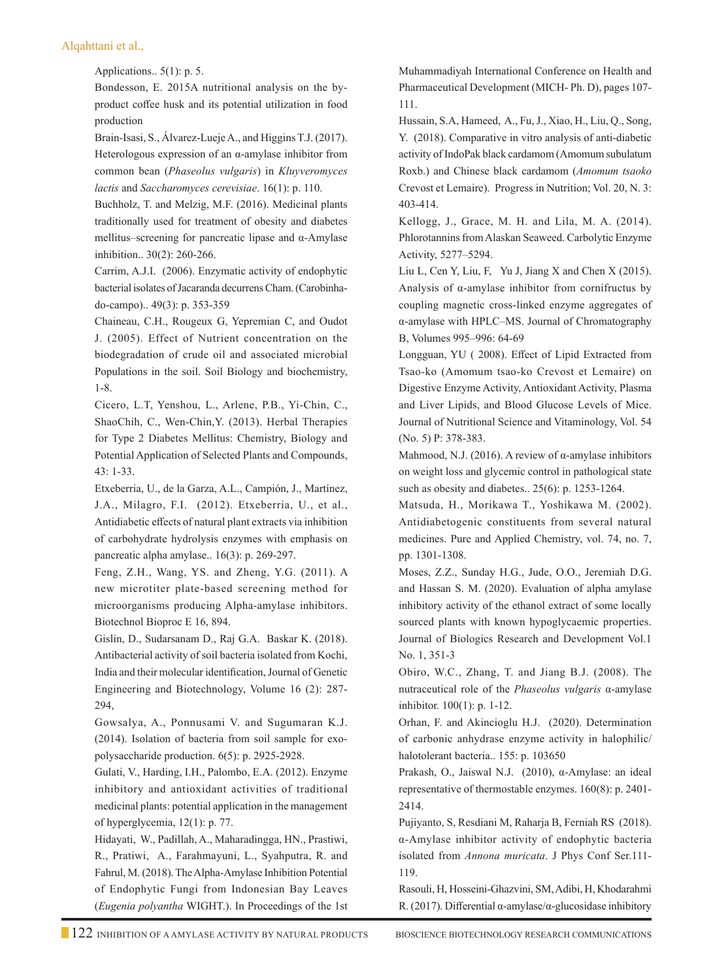Applications.. 5(1): p. 5.

Bondesson, E. 2015A nutritional analysis on the byproduct coffee husk and its potential utilization in food production

Brain-Isasi, S., Álvarez-Lueje A., and Higgins T.J. (2017). Heterologous expression of an α-amylase inhibitor from common bean (*Phaseolus vulgaris*) in *Kluyveromyces lactis* and *Saccharomyces cerevisiae*. 16(1): p. 110.

Buchholz, T. and Melzig, M.F. (2016). Medicinal plants traditionally used for treatment of obesity and diabetes mellitus–screening for pancreatic lipase and α-Amylase inhibition.. 30(2): 260-266.

 Carrim, A.J.I. (2006). Enzymatic activity of endophytic bacterial isolates of Jacaranda decurrens Cham. (Carobinhado-campo).. 49(3): p. 353-359

 Chaineau, C.H., Rougeux G, Yepremian C, and Oudot J. (2005). Effect of Nutrient concentration on the biodegradation of crude oil and associated microbial Populations in the soil. Soil Biology and biochemistry, 1-8.

 Cicero, L.T, Yenshou, L., Arlene, P.B., Yi-Chin, C., ShaoChih, C., Wen-Chin,Y. (2013). Herbal Therapies for Type 2 Diabetes Mellitus: Chemistry, Biology and Potential Application of Selected Plants and Compounds, 43: 1-33.

 Etxeberria, U., de la Garza, A.L., Campión, J., Martínez, J.A., Milagro, F.I. (2012). Etxeberria, U., et al., Antidiabetic effects of natural plant extracts via inhibition of carbohydrate hydrolysis enzymes with emphasis on pancreatic alpha amylase.. 16(3): p. 269-297.

Feng, Z.H., Wang, YS. and Zheng, Y.G. (2011). A new microtiter plate-based screening method for microorganisms producing Alpha-amylase inhibitors. Biotechnol Bioproc E 16, 894.

Gislin, D., Sudarsanam D., Raj G.A. Baskar K. (2018). Antibacterial activity of soil bacteria isolated from Kochi, India and their molecular identification, Journal of Genetic Engineering and Biotechnology, Volume 16 (2): 287- 294,

Gowsalya, A., Ponnusami V. and Sugumaran K.J. (2014). Isolation of bacteria from soil sample for exopolysaccharide production. 6(5): p. 2925-2928.

Gulati, V., Harding, I.H., Palombo, E.A. (2012). Enzyme inhibitory and antioxidant activities of traditional medicinal plants: potential application in the management of hyperglycemia, 12(1): p. 77.

 Hidayati, W., Padillah, A., Maharadingga, HN., Prastiwi, R., Pratiwi, A., Farahmayuni, L., Syahputra, R. and Fahrul, M. (2018). The Alpha-Amylase Inhibition Potential of Endophytic Fungi from Indonesian Bay Leaves (*Eugenia polyantha* WIGHT.). In Proceedings of the 1st Muhammadiyah International Conference on Health and Pharmaceutical Development (MICH- Ph. D), pages 107- 111.

 Hussain, S.A, Hameed, A., Fu, J., Xiao, H., Liu, Q., Song, Y. (2018). Comparative in vitro analysis of anti-diabetic activity of IndoPak black cardamom (Amomum subulatum Roxb.) and Chinese black cardamom (*Amomum tsaoko* Crevost et Lemaire). Progress in Nutrition; Vol. 20, N. 3: 403-414.

Kellogg, J., Grace, M. H. and Lila, M. A. (2014). Phlorotannins from Alaskan Seaweed. Carbolytic Enzyme Activity, 5277–5294.

 Liu L, Cen Y, Liu, F, Yu J, Jiang X and Chen X (2015). Analysis of α-amylase inhibitor from cornifructus by coupling magnetic cross-linked enzyme aggregates of α-amylase with HPLC–MS. Journal of Chromatography B, Volumes 995–996: 64-69

 Longguan, YU ( 2008). Effect of Lipid Extracted from Tsao-ko (Amomum tsao-ko Crevost et Lemaire) on Digestive Enzyme Activity, Antioxidant Activity, Plasma and Liver Lipids, and Blood Glucose Levels of Mice. Journal of Nutritional Science and Vitaminology, Vol. 54 (No. 5) P: 378-383.

 Mahmood, N.J. (2016). A review of α-amylase inhibitors on weight loss and glycemic control in pathological state such as obesity and diabetes.. 25(6): p. 1253-1264.

 Matsuda, H., Morikawa T., Yoshikawa M. (2002). Antidiabetogenic constituents from several natural medicines. Pure and Applied Chemistry, vol. 74, no. 7, pp. 1301-1308.

 Moses, Z.Z., Sunday H.G., Jude, O.O., Jeremiah D.G. and Hassan S. M. (2020). Evaluation of alpha amylase inhibitory activity of the ethanol extract of some locally sourced plants with known hypoglycaemic properties. Journal of Biologics Research and Development Vol.1 No. 1, 351-3

Obiro, W.C., Zhang, T. and Jiang B.J. (2008). The nutraceutical role of the *Phaseolus vulgaris* α-amylase inhibitor. 100(1): p. 1-12.

Orhan, F. and Akincioglu H.J. (2020). Determination of carbonic anhydrase enzyme activity in halophilic/ halotolerant bacteria.. 155: p. 103650

 Prakash, O., Jaiswal N.J. (2010), α-Amylase: an ideal representative of thermostable enzymes. 160(8): p. 2401- 2414.

 Pujiyanto, S, Resdiani M, Raharja B, Ferniah RS (2018). α-Amylase inhibitor activity of endophytic bacteria isolated from *Annona muricata*. J Phys Conf Ser.111- 119.

 Rasouli, H, Hosseini-Ghazvini, SM, Adibi, H, Khodarahmi R. (2017). Differential α-amylase/α-glucosidase inhibitory